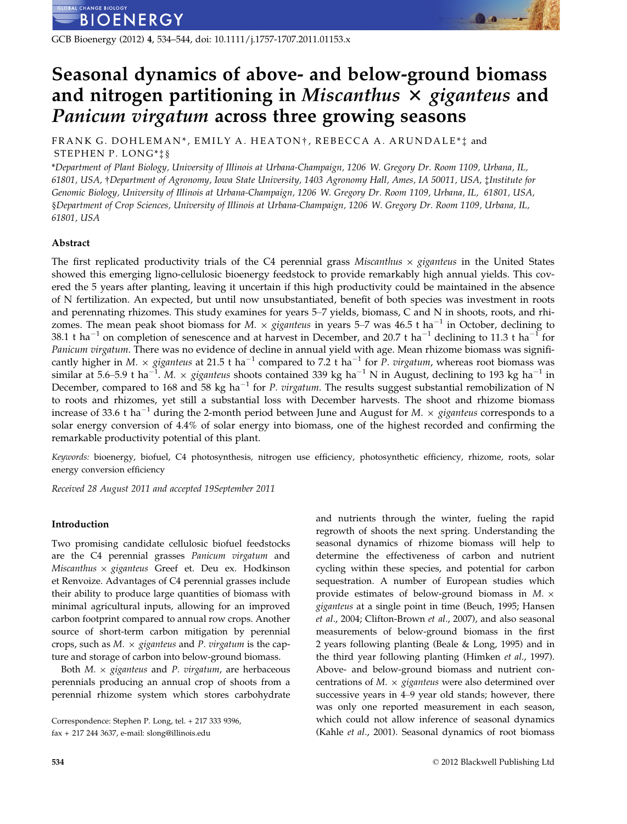GCB Bioenergy (2012) 4, 534–544, doi: 10.1111/j.1757-1707.2011.01153.x

# Seasonal dynamics of above- and below-ground biomass and nitrogen partitioning in Miscanthus  $\times$  giganteus and Panicum virgatum across three growing seasons

FRANK G. DOHLEMAN\*, EMILY A. HEATON†, REBECCA A. ARUNDALE\* $\ddagger$  and STEPHEN P. LONG\*‡§

\*Department of Plant Biology, University of Illinois at Urbana-Champaign, 1206 W. Gregory Dr. Room 1109, Urbana, IL, 61801, USA, †Department of Agronomy, Iowa State University, 1403 Agronomy Hall, Ames, IA 50011, USA, ‡Institute for Genomic Biology, University of Illinois at Urbana-Champaign, 1206 W. Gregory Dr. Room 1109, Urbana, IL, 61801, USA, §Department of Crop Sciences, University of Illinois at Urbana-Champaign, 1206 W. Gregory Dr. Room 1109, Urbana, IL, 61801, USA

# Abstract

The first replicated productivity trials of the C4 perennial grass Miscanthus  $\times$  giganteus in the United States showed this emerging ligno-cellulosic bioenergy feedstock to provide remarkably high annual yields. This covered the 5 years after planting, leaving it uncertain if this high productivity could be maintained in the absence of N fertilization. An expected, but until now unsubstantiated, benefit of both species was investment in roots and perennating rhizomes. This study examines for years 5–7 yields, biomass, C and N in shoots, roots, and rhizomes. The mean peak shoot biomass for M.  $\times$  giganteus in years 5–7 was 46.5 t ha<sup>-1</sup> in October, declining to 38.1 t ha<sup>-1</sup> on completion of senescence and at harvest in December, and 20.7 t ha<sup>-1</sup> declining to 11.3 t ha<sup>-1</sup> for Panicum virgatum. There was no evidence of decline in annual yield with age. Mean rhizome biomass was significantly higher in M.  $\times$  giganteus at 21.5 t ha<sup>-1</sup> compared to 7.2 t ha<sup>-1</sup> for P. virgatum, whereas root biomass was similar at 5.6–5.9 t ha $^{-1}$ . M.  $\times$  giganteus shoots contained 339 kg ha $^{-1}$  N in August, declining to 193 kg ha $^{-1}$  in December, compared to 168 and 58 kg ha<sup>-1</sup> for *P. virgatum*. The results suggest substantial remobilization of N to roots and rhizomes, yet still a substantial loss with December harvests. The shoot and rhizome biomass increase of 33.6 t ha<sup>-1</sup> during the 2-month period between June and August for M.  $\times$  giganteus corresponds to a solar energy conversion of 4.4% of solar energy into biomass, one of the highest recorded and confirming the remarkable productivity potential of this plant.

Keywords: bioenergy, biofuel, C4 photosynthesis, nitrogen use efficiency, photosynthetic efficiency, rhizome, roots, solar energy conversion efficiency

Received 28 August 2011 and accepted 19September 2011

# Introduction

Two promising candidate cellulosic biofuel feedstocks are the C4 perennial grasses Panicum virgatum and Miscanthus  $\times$  giganteus Greef et. Deu ex. Hodkinson et Renvoize. Advantages of C4 perennial grasses include their ability to produce large quantities of biomass with minimal agricultural inputs, allowing for an improved carbon footprint compared to annual row crops. Another source of short-term carbon mitigation by perennial crops, such as  $M. \times$  giganteus and P. virgatum is the capture and storage of carbon into below-ground biomass.

Both  $M. \times$  giganteus and P. virgatum, are herbaceous perennials producing an annual crop of shoots from a perennial rhizome system which stores carbohydrate and nutrients through the winter, fueling the rapid regrowth of shoots the next spring. Understanding the seasonal dynamics of rhizome biomass will help to determine the effectiveness of carbon and nutrient cycling within these species, and potential for carbon sequestration. A number of European studies which provide estimates of below-ground biomass in  $M. \times$ giganteus at a single point in time (Beuch, 1995; Hansen et al., 2004; Clifton-Brown et al., 2007), and also seasonal measurements of below-ground biomass in the first 2 years following planting (Beale & Long, 1995) and in the third year following planting (Himken et al., 1997). Above- and below-ground biomass and nutrient concentrations of  $M. \times$  giganteus were also determined over successive years in 4–9 year old stands; however, there was only one reported measurement in each season, which could not allow inference of seasonal dynamics (Kahle et al., 2001). Seasonal dynamics of root biomass

Correspondence: Stephen P. Long, tel. + 217 333 9396, fax + 217 244 3637, e-mail: slong@illinois.edu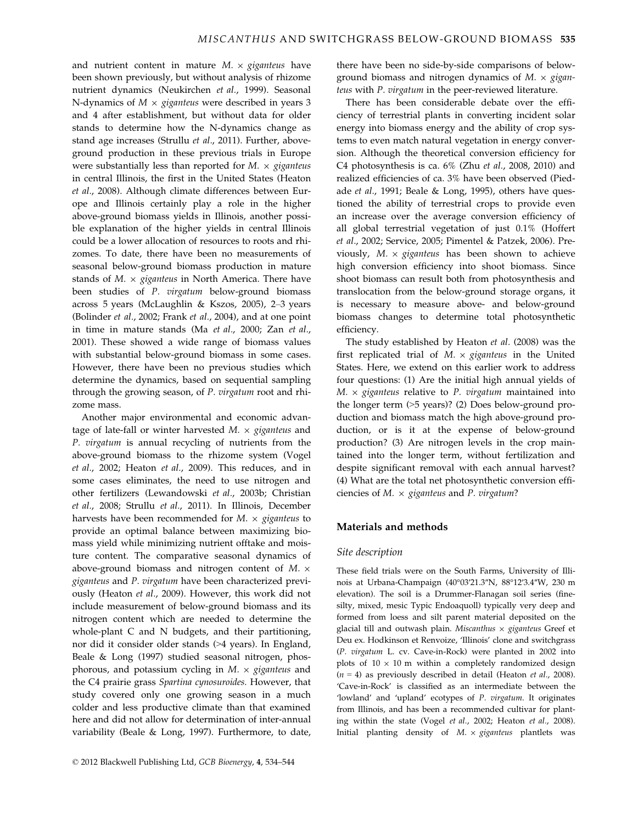and nutrient content in mature  $M_1 \times$  giganteus have been shown previously, but without analysis of rhizome nutrient dynamics (Neukirchen et al., 1999). Seasonal N-dynamics of  $M \times$  giganteus were described in years 3 and 4 after establishment, but without data for older stands to determine how the N-dynamics change as stand age increases (Strullu et al., 2011). Further, aboveground production in these previous trials in Europe were substantially less than reported for  $M. \times$  giganteus in central Illinois, the first in the United States (Heaton et al., 2008). Although climate differences between Europe and Illinois certainly play a role in the higher above-ground biomass yields in Illinois, another possible explanation of the higher yields in central Illinois could be a lower allocation of resources to roots and rhizomes. To date, there have been no measurements of seasonal below-ground biomass production in mature stands of  $M. \times$  giganteus in North America. There have been studies of P. virgatum below-ground biomass across 5 years (McLaughlin & Kszos, 2005), 2–3 years (Bolinder et al., 2002; Frank et al., 2004), and at one point in time in mature stands (Ma et al., 2000; Zan et al., 2001). These showed a wide range of biomass values with substantial below-ground biomass in some cases. However, there have been no previous studies which determine the dynamics, based on sequential sampling through the growing season, of P. virgatum root and rhizome mass.

Another major environmental and economic advantage of late-fall or winter harvested  $M. \times$  giganteus and P. virgatum is annual recycling of nutrients from the above-ground biomass to the rhizome system (Vogel et al., 2002; Heaton et al., 2009). This reduces, and in some cases eliminates, the need to use nitrogen and other fertilizers (Lewandowski et al., 2003b; Christian et al., 2008; Strullu et al., 2011). In Illinois, December harvests have been recommended for  $M. \times$  giganteus to provide an optimal balance between maximizing biomass yield while minimizing nutrient offtake and moisture content. The comparative seasonal dynamics of above-ground biomass and nitrogen content of  $M. \times$ giganteus and P. virgatum have been characterized previously (Heaton et al., 2009). However, this work did not include measurement of below-ground biomass and its nitrogen content which are needed to determine the whole-plant C and N budgets, and their partitioning, nor did it consider older stands (>4 years). In England, Beale & Long (1997) studied seasonal nitrogen, phosphorous, and potassium cycling in  $M. \times$  giganteus and the C4 prairie grass Spartina cynosuroides. However, that study covered only one growing season in a much colder and less productive climate than that examined here and did not allow for determination of inter-annual variability (Beale & Long, 1997). Furthermore, to date, there have been no side-by-side comparisons of belowground biomass and nitrogen dynamics of  $M. \times gigan$ teus with P. virgatum in the peer-reviewed literature.

There has been considerable debate over the efficiency of terrestrial plants in converting incident solar energy into biomass energy and the ability of crop systems to even match natural vegetation in energy conversion. Although the theoretical conversion efficiency for C4 photosynthesis is ca.  $6\%$  (Zhu et al., 2008, 2010) and realized efficiencies of ca. 3% have been observed (Piedade et al., 1991; Beale & Long, 1995), others have questioned the ability of terrestrial crops to provide even an increase over the average conversion efficiency of all global terrestrial vegetation of just 0.1% (Hoffert et al., 2002; Service, 2005; Pimentel & Patzek, 2006). Previously,  $M \times$  giganteus has been shown to achieve high conversion efficiency into shoot biomass. Since shoot biomass can result both from photosynthesis and translocation from the below-ground storage organs, it is necessary to measure above- and below-ground biomass changes to determine total photosynthetic efficiency.

The study established by Heaton et al. (2008) was the first replicated trial of  $M. \times$  giganteus in the United States. Here, we extend on this earlier work to address four questions: (1) Are the initial high annual yields of  $M. \times$  giganteus relative to P. virgatum maintained into the longer term (>5 years)? (2) Does below-ground production and biomass match the high above-ground production, or is it at the expense of below-ground production? (3) Are nitrogen levels in the crop maintained into the longer term, without fertilization and despite significant removal with each annual harvest? (4) What are the total net photosynthetic conversion efficiencies of  $M. \times$  giganteus and P. virgatum?

# Materials and methods

# Site description

These field trials were on the South Farms, University of Illinois at Urbana-Champaign (40°03′21.3″N, 88°12′3.4″W, 230 m elevation). The soil is a Drummer-Flanagan soil series (finesilty, mixed, mesic Typic Endoaquoll) typically very deep and formed from loess and silt parent material deposited on the glacial till and outwash plain. Miscanthus  $\times$  giganteus Greef et Deu ex. Hodkinson et Renvoize, 'Illinois' clone and switchgrass (P. virgatum L. cv. Cave-in-Rock) were planted in 2002 into plots of  $10 \times 10$  m within a completely randomized design  $(n = 4)$  as previously described in detail (Heaton *et al.*, 2008). 'Cave-in-Rock' is classified as an intermediate between the 'lowland' and 'upland' ecotypes of P. virgatum. It originates from Illinois, and has been a recommended cultivar for planting within the state (Vogel et al., 2002; Heaton et al., 2008). Initial planting density of  $M. \times$  giganteus plantlets was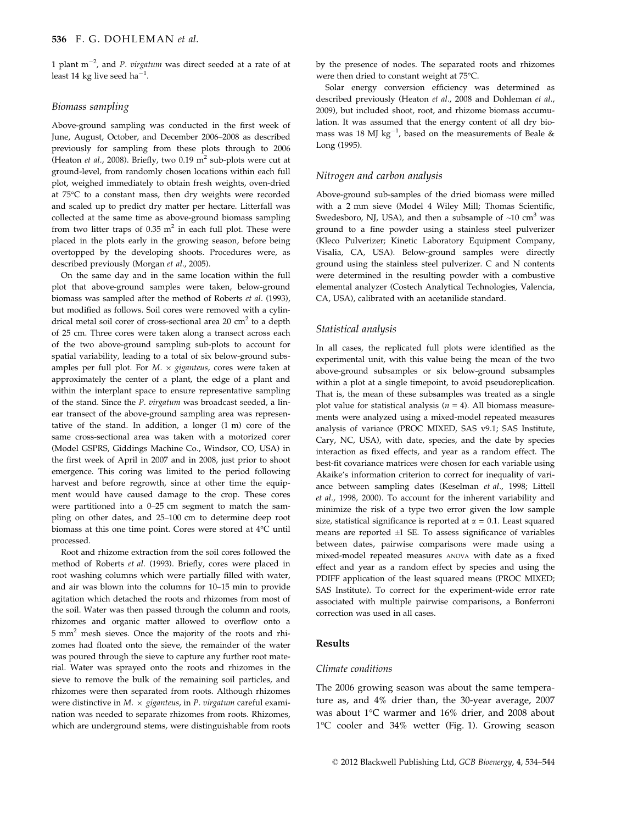1 plant  $m^{-2}$ , and P. virgatum was direct seeded at a rate of at least 14 kg live seed ha $^{-1}$ .

## Biomass sampling

Above-ground sampling was conducted in the first week of June, August, October, and December 2006–2008 as described previously for sampling from these plots through to 2006 (Heaton *et al.*, 2008). Briefly, two 0.19  $m^2$  sub-plots were cut at ground-level, from randomly chosen locations within each full plot, weighed immediately to obtain fresh weights, oven-dried at 75°C to a constant mass, then dry weights were recorded and scaled up to predict dry matter per hectare. Litterfall was collected at the same time as above-ground biomass sampling from two litter traps of  $0.35$  m<sup>2</sup> in each full plot. These were placed in the plots early in the growing season, before being overtopped by the developing shoots. Procedures were, as described previously (Morgan et al., 2005).

On the same day and in the same location within the full plot that above-ground samples were taken, below-ground biomass was sampled after the method of Roberts et al. (1993), but modified as follows. Soil cores were removed with a cylindrical metal soil corer of cross-sectional area  $20 \text{ cm}^2$  to a depth of 25 cm. Three cores were taken along a transect across each of the two above-ground sampling sub-plots to account for spatial variability, leading to a total of six below-ground subsamples per full plot. For  $M. \times$  giganteus, cores were taken at approximately the center of a plant, the edge of a plant and within the interplant space to ensure representative sampling of the stand. Since the P. virgatum was broadcast seeded, a linear transect of the above-ground sampling area was representative of the stand. In addition, a longer (1 m) core of the same cross-sectional area was taken with a motorized corer (Model GSPRS, Giddings Machine Co., Windsor, CO, USA) in the first week of April in 2007 and in 2008, just prior to shoot emergence. This coring was limited to the period following harvest and before regrowth, since at other time the equipment would have caused damage to the crop. These cores were partitioned into a 0–25 cm segment to match the sampling on other dates, and 25–100 cm to determine deep root biomass at this one time point. Cores were stored at 4°C until processed.

Root and rhizome extraction from the soil cores followed the method of Roberts et al. (1993). Briefly, cores were placed in root washing columns which were partially filled with water, and air was blown into the columns for 10–15 min to provide agitation which detached the roots and rhizomes from most of the soil. Water was then passed through the column and roots, rhizomes and organic matter allowed to overflow onto a 5 mm2 mesh sieves. Once the majority of the roots and rhizomes had floated onto the sieve, the remainder of the water was poured through the sieve to capture any further root material. Water was sprayed onto the roots and rhizomes in the sieve to remove the bulk of the remaining soil particles, and rhizomes were then separated from roots. Although rhizomes were distinctive in  $M. \times$  giganteus, in P. virgatum careful examination was needed to separate rhizomes from roots. Rhizomes, which are underground stems, were distinguishable from roots

by the presence of nodes. The separated roots and rhizomes were then dried to constant weight at 75°C.

Solar energy conversion efficiency was determined as described previously (Heaton et al., 2008 and Dohleman et al., 2009), but included shoot, root, and rhizome biomass accumulation. It was assumed that the energy content of all dry biomass was 18 MJ  $kg^{-1}$ , based on the measurements of Beale & Long (1995).

## Nitrogen and carbon analysis

Above-ground sub-samples of the dried biomass were milled with a 2 mm sieve (Model 4 Wiley Mill; Thomas Scientific, Swedesboro, NJ, USA), and then a subsample of  $\sim$ 10 cm<sup>3</sup> was ground to a fine powder using a stainless steel pulverizer (Kleco Pulverizer; Kinetic Laboratory Equipment Company, Visalia, CA, USA). Below-ground samples were directly ground using the stainless steel pulverizer. C and N contents were determined in the resulting powder with a combustive elemental analyzer (Costech Analytical Technologies, Valencia, CA, USA), calibrated with an acetanilide standard.

## Statistical analysis

In all cases, the replicated full plots were identified as the experimental unit, with this value being the mean of the two above-ground subsamples or six below-ground subsamples within a plot at a single timepoint, to avoid pseudoreplication. That is, the mean of these subsamples was treated as a single plot value for statistical analysis ( $n = 4$ ). All biomass measurements were analyzed using a mixed-model repeated measures analysis of variance (PROC MIXED, SAS v9.1; SAS Institute, Cary, NC, USA), with date, species, and the date by species interaction as fixed effects, and year as a random effect. The best-fit covariance matrices were chosen for each variable using Akaike's information criterion to correct for inequality of variance between sampling dates (Keselman et al., 1998; Littell et al., 1998, 2000). To account for the inherent variability and minimize the risk of a type two error given the low sample size, statistical significance is reported at  $\alpha = 0.1$ . Least squared means are reported  $\pm 1$  SE. To assess significance of variables between dates, pairwise comparisons were made using a mixed-model repeated measures ANOVA with date as a fixed effect and year as a random effect by species and using the PDIFF application of the least squared means (PROC MIXED; SAS Institute). To correct for the experiment-wide error rate associated with multiple pairwise comparisons, a Bonferroni correction was used in all cases.

# Results

#### Climate conditions

The 2006 growing season was about the same temperature as, and 4% drier than, the 30-year average, 2007 was about 1°C warmer and 16% drier, and 2008 about 1°C cooler and 34% wetter (Fig. 1). Growing season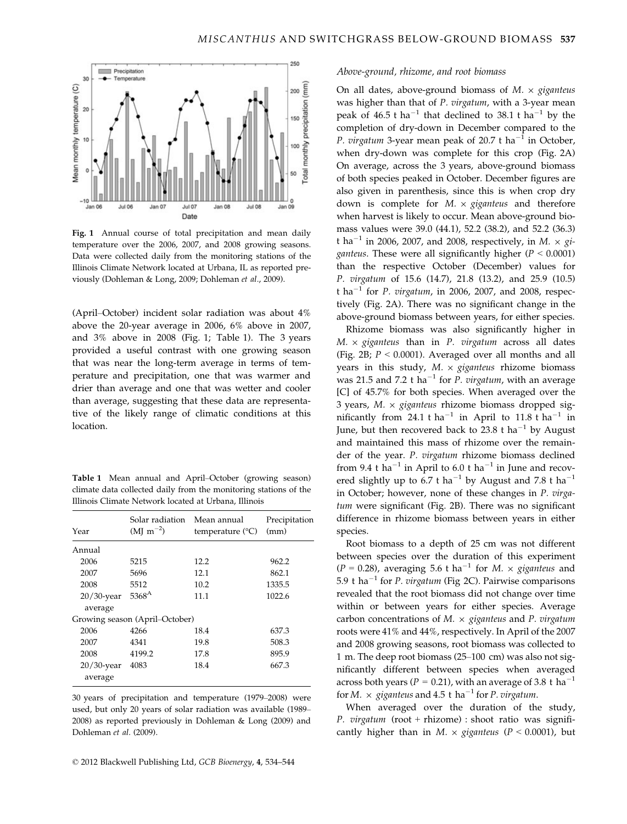

Fig. 1 Annual course of total precipitation and mean daily temperature over the 2006, 2007, and 2008 growing seasons. Data were collected daily from the monitoring stations of the Illinois Climate Network located at Urbana, IL as reported previously (Dohleman & Long, 2009; Dohleman et al., 2009).

(April–October) incident solar radiation was about 4% above the 20-year average in 2006, 6% above in 2007, and 3% above in 2008 (Fig. 1; Table 1). The 3 years provided a useful contrast with one growing season that was near the long-term average in terms of temperature and precipitation, one that was warmer and drier than average and one that was wetter and cooler than average, suggesting that these data are representative of the likely range of climatic conditions at this location.

Table 1 Mean annual and April–October (growing season) climate data collected daily from the monitoring stations of the Illinois Climate Network located at Urbana, Illinois

| Year          | Solar radiation<br>$(MJ \, m^{-2})$ | Mean annual<br>temperature $({}^{\circ}C)$ | Precipitation<br>(mm) |
|---------------|-------------------------------------|--------------------------------------------|-----------------------|
| Annual        |                                     |                                            |                       |
| 2006          | 5215                                | 12.2                                       | 962.2                 |
| 2007          | 5696                                | 12.1                                       | 862.1                 |
| 2008          | 5512                                | 10.2                                       | 1335.5                |
| $20/30$ -year | $5368^{A}$                          | 11.1                                       | 1022.6                |
| average       |                                     |                                            |                       |
|               | Growing season (April–October)      |                                            |                       |
| 2006          | 4266                                | 18.4                                       | 637.3                 |
| 2007          | 4341                                | 19.8                                       | 508.3                 |
| 2008          | 4199.2                              | 17.8                                       | 895.9                 |
| $20/30$ -year | 4083                                | 18.4                                       | 667.3                 |
| average       |                                     |                                            |                       |

30 years of precipitation and temperature (1979–2008) were used, but only 20 years of solar radiation was available (1989– 2008) as reported previously in Dohleman & Long (2009) and Dohleman et al. (2009).

#### Above-ground, rhizome, and root biomass

On all dates, above-ground biomass of  $M. \times$  giganteus was higher than that of P. virgatum, with a 3-year mean peak of 46.5 t ha<sup>-1</sup> that declined to 38.1 t ha<sup>-1</sup> by the completion of dry-down in December compared to the *P. virgatum* 3-year mean peak of 20.7 t ha<sup>-1</sup> in October, when dry-down was complete for this crop (Fig. 2A) On average, across the 3 years, above-ground biomass of both species peaked in October. December figures are also given in parenthesis, since this is when crop dry down is complete for  $M. \times$  giganteus and therefore when harvest is likely to occur. Mean above-ground biomass values were 39.0 (44.1), 52.2 (38.2), and 52.2 (36.3) t ha<sup>-1</sup> in 2006, 2007, and 2008, respectively, in M.  $\times$  gi*ganteus*. These were all significantly higher ( $P < 0.0001$ ) than the respective October (December) values for P. virgatum of 15.6 (14.7), 21.8 (13.2), and 25.9 (10.5) t ha<sup>-1</sup> for *P. virgatum*, in 2006, 2007, and 2008, respectively (Fig. 2A). There was no significant change in the above-ground biomass between years, for either species.

Rhizome biomass was also significantly higher in  $M. \times$  giganteus than in P. virgatum across all dates (Fig. 2B;  $P < 0.0001$ ). Averaged over all months and all years in this study,  $M. \times$  giganteus rhizome biomass was 21.5 and 7.2 t ha<sup>-1</sup> for *P. virgatum*, with an average [C] of 45.7% for both species. When averaged over the 3 years,  $M. \times$  giganteus rhizome biomass dropped significantly from 24.1 t ha<sup>-1</sup> in April to 11.8 t ha<sup>-1</sup> in June, but then recovered back to 23.8 t ha<sup>-1</sup> by August and maintained this mass of rhizome over the remainder of the year. P. virgatum rhizome biomass declined from 9.4 t ha<sup>-1</sup> in April to 6.0 t ha<sup>-1</sup> in June and recovered slightly up to 6.7 t ha<sup>-1</sup> by August and 7.8 t ha<sup>-1</sup> in October; however, none of these changes in P. virgatum were significant (Fig. 2B). There was no significant difference in rhizome biomass between years in either species.

Root biomass to a depth of 25 cm was not different between species over the duration of this experiment  $(P = 0.28)$ , averaging 5.6 t ha<sup>-1</sup> for M.  $\times$  giganteus and 5.9 t ha<sup>-1</sup> for *P. virgatum* (Fig 2C). Pairwise comparisons revealed that the root biomass did not change over time within or between years for either species. Average carbon concentrations of  $M. \times$  giganteus and P. virgatum roots were 41% and 44%, respectively. In April of the 2007 and 2008 growing seasons, root biomass was collected to 1 m. The deep root biomass (25–100 cm) was also not significantly different between species when averaged across both years ( $P = 0.21$ ), with an average of 3.8 t ha<sup>-1</sup> for M.  $\times$  giganteus and 4.5 t ha<sup>-1</sup> for P. virgatum.

When averaged over the duration of the study, P. virgatum (root + rhizome) : shoot ratio was significantly higher than in  $M. \times$  giganteus (P < 0.0001), but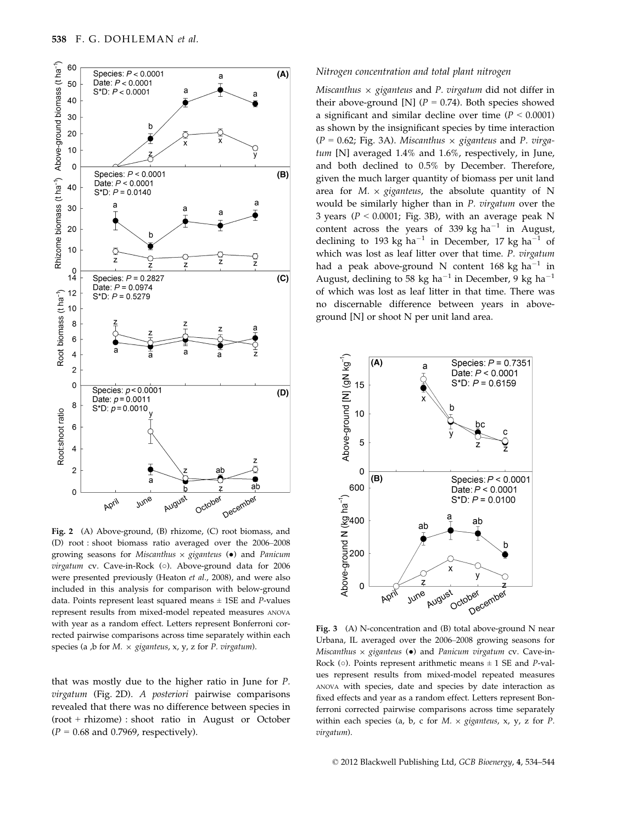

Fig. 2 (A) Above-ground, (B) rhizome, (C) root biomass, and (D) root : shoot biomass ratio averaged over the 2006–2008 growing seasons for Miscanthus  $\times$  giganteus ( $\bullet$ ) and Panicum virgatum cv. Cave-in-Rock (○). Above-ground data for 2006 were presented previously (Heaton et al., 2008), and were also included in this analysis for comparison with below-ground data. Points represent least squared means  $\pm$  1SE and P-values represent results from mixed-model repeated measures ANOVA with year as a random effect. Letters represent Bonferroni corrected pairwise comparisons across time separately within each species (a ,b for  $M. \times$  giganteus, x, y, z for P. virgatum).

that was mostly due to the higher ratio in June for P. virgatum (Fig. 2D). A posteriori pairwise comparisons revealed that there was no difference between species in (root + rhizome) : shoot ratio in August or October  $(P = 0.68$  and 0.7969, respectively).

#### Nitrogen concentration and total plant nitrogen

Miscanthus  $\times$  giganteus and P. virgatum did not differ in their above-ground [N] ( $P = 0.74$ ). Both species showed a significant and similar decline over time ( $P < 0.0001$ ) as shown by the insignificant species by time interaction  $(P = 0.62; Fig. 3A)$ . Miscanthus  $\times$  giganteus and P. virgatum [N] averaged 1.4% and 1.6%, respectively, in June, and both declined to 0.5% by December. Therefore, given the much larger quantity of biomass per unit land area for  $M \times$  giganteus, the absolute quantity of N would be similarly higher than in P. virgatum over the 3 years ( $P < 0.0001$ ; Fig. 3B), with an average peak N content across the years of 339 kg  $ha^{-1}$  in August, declining to 193 kg ha<sup>-1</sup> in December, 17 kg ha<sup>-1</sup> of which was lost as leaf litter over that time. P. virgatum had a peak above-ground N content 168 kg ha $^{-1}$  in August, declining to 58 kg ha<sup>-1</sup> in December, 9 kg ha<sup>-1</sup> of which was lost as leaf litter in that time. There was no discernable difference between years in aboveground [N] or shoot N per unit land area.



Fig. 3 (A) N-concentration and (B) total above-ground N near Urbana, IL averaged over the 2006–2008 growing seasons for Miscanthus  $\times$  giganteus ( $\bullet$ ) and Panicum virgatum cv. Cave-in-Rock ( $\circ$ ). Points represent arithmetic means  $\pm$  1 SE and *P*-values represent results from mixed-model repeated measures ANOVA with species, date and species by date interaction as fixed effects and year as a random effect. Letters represent Bonferroni corrected pairwise comparisons across time separately within each species (a, b, c for  $M. \times$  giganteus, x, y, z for P. virgatum).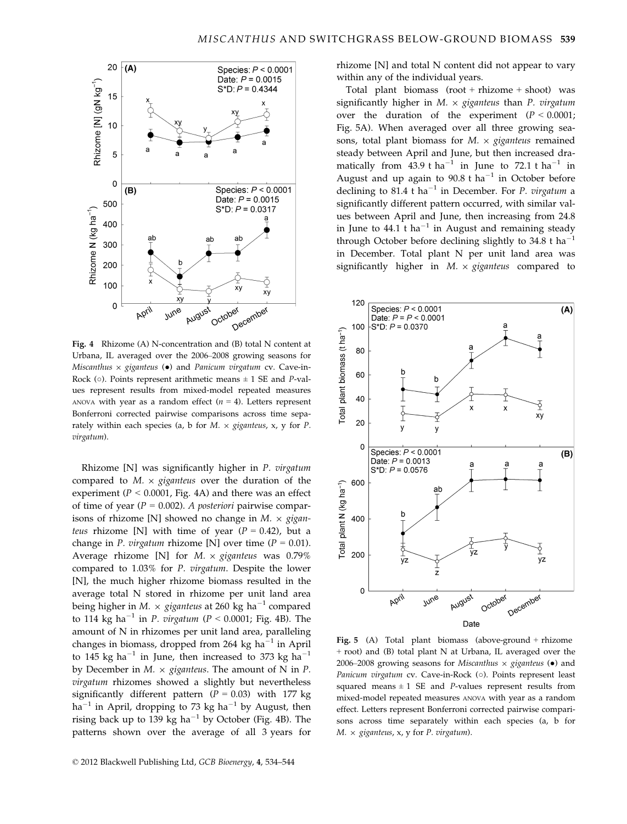

Fig. 4 Rhizome (A) N-concentration and (B) total N content at Urbana, IL averaged over the 2006–2008 growing seasons for Miscanthus  $\times$  giganteus ( $\bullet$ ) and Panicum virgatum cv. Cave-in-Rock ( $\circ$ ). Points represent arithmetic means  $\pm$  1 SE and *P*-values represent results from mixed-model repeated measures ANOVA with year as a random effect  $(n = 4)$ . Letters represent Bonferroni corrected pairwise comparisons across time separately within each species (a, b for  $M. \times$  giganteus, x, y for P. virgatum).

Rhizome [N] was significantly higher in P. virgatum compared to  $M. \times$  giganteus over the duration of the experiment ( $P < 0.0001$ , Fig. 4A) and there was an effect of time of year ( $P = 0.002$ ). A posteriori pairwise comparisons of rhizome [N] showed no change in  $M. \times gigan$ teus rhizome [N] with time of year  $(P = 0.42)$ , but a change in *P. virgatum* rhizome [N] over time ( $P = 0.01$ ). Average rhizome [N] for  $M. \times$  giganteus was 0.79% compared to 1.03% for P. virgatum. Despite the lower [N], the much higher rhizome biomass resulted in the average total N stored in rhizome per unit land area being higher in M.  $\times$  giganteus at 260 kg ha<sup>-1</sup> compared to 114 kg ha<sup>-1</sup> in *P. virgatum* ( $P < 0.0001$ ; Fig. 4B). The amount of N in rhizomes per unit land area, paralleling changes in biomass, dropped from 264 kg ha $^{-1}$  in April to 145 kg ha<sup>-1</sup> in June, then increased to 373 kg ha<sup>-1</sup> by December in  $M. \times$  giganteus. The amount of N in P. virgatum rhizomes showed a slightly but nevertheless significantly different pattern  $(P = 0.03)$  with 177 kg  $ha^{-1}$  in April, dropping to 73 kg ha<sup>-1</sup> by August, then rising back up to 139 kg ha<sup> $-1$ </sup> by October (Fig. 4B). The patterns shown over the average of all 3 years for

rhizome [N] and total N content did not appear to vary within any of the individual years.

Total plant biomass  $(root + \text{rhizome} + \text{shoot})$  was significantly higher in  $M. \times$  giganteus than P. virgatum over the duration of the experiment  $(P < 0.0001)$ ; Fig. 5A). When averaged over all three growing seasons, total plant biomass for  $M. \times$  giganteus remained steady between April and June, but then increased dramatically from 43.9 t ha<sup>-1</sup> in June to 72.1 t ha<sup>-1</sup> in August and up again to  $90.8$  t ha<sup>-1</sup> in October before declining to 81.4 t ha<sup>-1</sup> in December. For P. virgatum a significantly different pattern occurred, with similar values between April and June, then increasing from 24.8 in June to  $44.1$  t ha<sup>-1</sup> in August and remaining steady through October before declining slightly to  $34.8$  t ha<sup>-</sup> in December. Total plant N per unit land area was significantly higher in  $M. \times$  giganteus compared to



Fig. 5 (A) Total plant biomass (above-ground + rhizome + root) and (B) total plant N at Urbana, IL averaged over the 2006–2008 growing seasons for Miscanthus  $\times$  giganteus ( $\bullet$ ) and Panicum virgatum cv. Cave-in-Rock (○). Points represent least squared means  $\pm 1$  SE and *P*-values represent results from mixed-model repeated measures ANOVA with year as a random effect. Letters represent Bonferroni corrected pairwise comparisons across time separately within each species (a, b for  $M. \times$  giganteus, x, y for P. virgatum).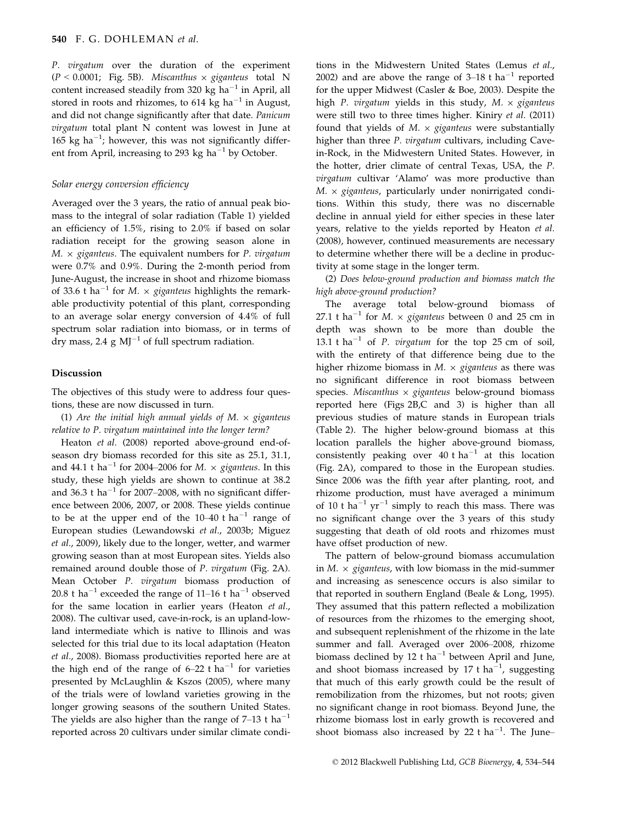P. virgatum over the duration of the experiment  $(P < 0.0001$ ; Fig. 5B). Miscanthus  $\times$  giganteus total N content increased steadily from 320 kg ha<sup>-1</sup> in April, all stored in roots and rhizomes, to 614 kg ha<sup>-1</sup> in August, and did not change significantly after that date. Panicum virgatum total plant N content was lowest in June at 165 kg ha<sup>-1</sup>; however, this was not significantly different from April, increasing to 293 kg ha<sup>-1</sup> by October.

## Solar energy conversion efficiency

Averaged over the 3 years, the ratio of annual peak biomass to the integral of solar radiation (Table 1) yielded an efficiency of 1.5%, rising to 2.0% if based on solar radiation receipt for the growing season alone in  $M. \times$  giganteus. The equivalent numbers for P. virgatum were 0.7% and 0.9%. During the 2-month period from June-August, the increase in shoot and rhizome biomass of 33.6 t ha<sup>-1</sup> for M.  $\times$  giganteus highlights the remarkable productivity potential of this plant, corresponding to an average solar energy conversion of 4.4% of full spectrum solar radiation into biomass, or in terms of dry mass, 2.4  $g$  MJ<sup>-1</sup> of full spectrum radiation.

#### Discussion

The objectives of this study were to address four questions, these are now discussed in turn.

(1) Are the initial high annual yields of M.  $\times$  giganteus relative to P. virgatum maintained into the longer term?

Heaton et al. (2008) reported above-ground end-ofseason dry biomass recorded for this site as 25.1, 31.1, and 44.1 t ha<sup>-1</sup> for 2004–2006 for M.  $\times$  giganteus. In this study, these high yields are shown to continue at 38.2 and 36.3 t ha<sup>-1</sup> for 2007–2008, with no significant difference between 2006, 2007, or 2008. These yields continue to be at the upper end of the  $10-40$  t ha<sup>-1</sup> range of European studies (Lewandowski et al., 2003b; Miguez et al., 2009), likely due to the longer, wetter, and warmer growing season than at most European sites. Yields also remained around double those of P. virgatum (Fig. 2A). Mean October P. virgatum biomass production of 20.8 t ha<sup>-1</sup> exceeded the range of 11–16 t ha<sup>-1</sup> observed for the same location in earlier years (Heaton et al., 2008). The cultivar used, cave-in-rock, is an upland-lowland intermediate which is native to Illinois and was selected for this trial due to its local adaptation (Heaton et al., 2008). Biomass productivities reported here are at the high end of the range of  $6-22$  t ha<sup>-1</sup> for varieties presented by McLaughlin & Kszos (2005), where many of the trials were of lowland varieties growing in the longer growing seasons of the southern United States. The yields are also higher than the range of  $7-13$  t ha<sup>-1</sup> reported across 20 cultivars under similar climate conditions in the Midwestern United States (Lemus et al., 2002) and are above the range of  $3-18$  t ha<sup>-1</sup> reported for the upper Midwest (Casler & Boe, 2003). Despite the high P. virgatum yields in this study,  $M. \times$  giganteus were still two to three times higher. Kiniry et al. (2011) found that yields of  $M. \times$  giganteus were substantially higher than three P. virgatum cultivars, including Cavein-Rock, in the Midwestern United States. However, in the hotter, drier climate of central Texas, USA, the P. virgatum cultivar 'Alamo' was more productive than  $M. \times$  giganteus, particularly under nonirrigated conditions. Within this study, there was no discernable decline in annual yield for either species in these later years, relative to the yields reported by Heaton et al. (2008), however, continued measurements are necessary to determine whether there will be a decline in productivity at some stage in the longer term.

(2) Does below-ground production and biomass match the high above-ground production?

The average total below-ground biomass of 27.1 t ha<sup>-1</sup> for *M*.  $\times$  giganteus between 0 and 25 cm in depth was shown to be more than double the 13.1 t ha<sup>-1</sup> of *P. virgatum* for the top 25 cm of soil, with the entirety of that difference being due to the higher rhizome biomass in  $M. \times$  giganteus as there was no significant difference in root biomass between species. Miscanthus  $\times$  giganteus below-ground biomass reported here (Figs 2B,C and 3) is higher than all previous studies of mature stands in European trials (Table 2). The higher below-ground biomass at this location parallels the higher above-ground biomass, consistently peaking over  $40$  t ha<sup>-1</sup> at this location (Fig. 2A), compared to those in the European studies. Since 2006 was the fifth year after planting, root, and rhizome production, must have averaged a minimum of 10 t ha<sup>-1</sup> yr<sup>-1</sup> simply to reach this mass. There was no significant change over the 3 years of this study suggesting that death of old roots and rhizomes must have offset production of new.

The pattern of below-ground biomass accumulation in  $M. \times$  giganteus, with low biomass in the mid-summer and increasing as senescence occurs is also similar to that reported in southern England (Beale & Long, 1995). They assumed that this pattern reflected a mobilization of resources from the rhizomes to the emerging shoot, and subsequent replenishment of the rhizome in the late summer and fall. Averaged over 2006–2008, rhizome biomass declined by 12 t ha<sup>-1</sup> between April and June, and shoot biomass increased by 17 t ha<sup>-1</sup>, suggesting that much of this early growth could be the result of remobilization from the rhizomes, but not roots; given no significant change in root biomass. Beyond June, the rhizome biomass lost in early growth is recovered and shoot biomass also increased by 22 t ha<sup>-1</sup>. The June-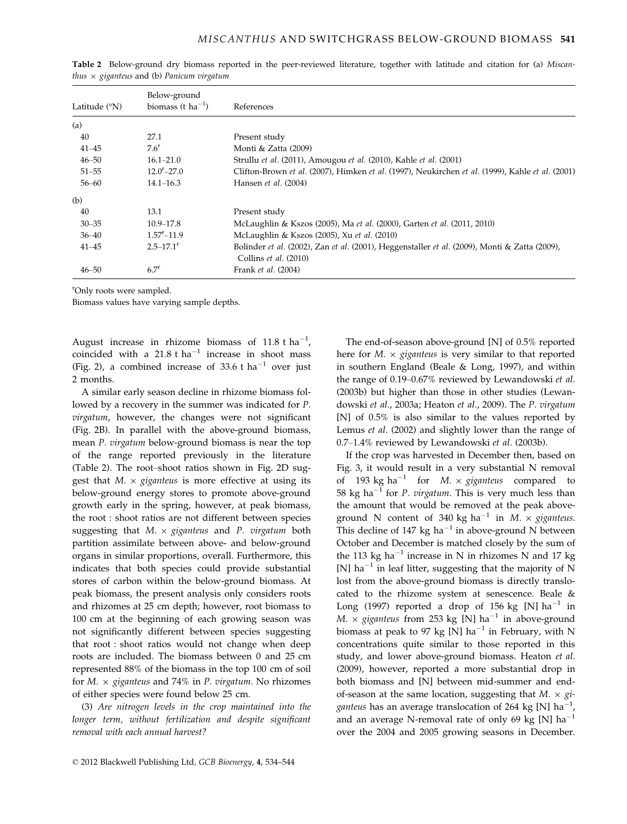| Latitude $(°N)$ | Below-ground<br>biomass (t $ha^{-1}$ ) | References                                                                                                             |
|-----------------|----------------------------------------|------------------------------------------------------------------------------------------------------------------------|
| (a)             |                                        |                                                                                                                        |
| 40              | 27.1                                   | Present study                                                                                                          |
| $41 - 45$       | $7.6^{\rm r}$                          | Monti & Zatta (2009)                                                                                                   |
| $46 - 50$       | $16.1 - 21.0$                          | Strullu et al. (2011), Amougou et al. (2010), Kahle et al. (2001)                                                      |
| $51 - 55$       | $12.0^{\rm r} - 27.0$                  | Clifton-Brown et al. (2007), Himken et al. (1997), Neukirchen et al. (1999), Kahle et al. (2001)                       |
| $56 - 60$       | $14.1 - 16.3$                          | Hansen et al. (2004)                                                                                                   |
| (b)             |                                        |                                                                                                                        |
| 40              | 13.1                                   | Present study                                                                                                          |
| $30 - 35$       | $10.9 - 17.8$                          | McLaughlin & Kszos (2005), Ma et al. (2000), Garten et al. (2011, 2010)                                                |
| $36 - 40$       | $1.57 - 11.9$                          | McLaughlin & Kszos (2005), Xu et al. (2010)                                                                            |
| $41 - 45$       | $2.5 - 17.1$ <sup>r</sup>              | Bolinder et al. (2002), Zan et al. (2001), Heggenstaller et al. (2009), Monti & Zatta (2009),<br>Collins et al. (2010) |
| $46 - 50$       | 6.7 <sup>r</sup>                       | Frank et al. (2004)                                                                                                    |

Table 2 Below-ground dry biomass reported in the peer-reviewed literature, together with latitude and citation for (a) Miscanthus  $\times$  giganteus and (b) Panicum virgatum

r Only roots were sampled.

Biomass values have varying sample depths.

August increase in rhizome biomass of  $11.8$  t ha<sup>-1</sup>, coincided with a  $21.8$  t ha<sup>-1</sup> increase in shoot mass (Fig. 2), a combined increase of 33.6 t ha<sup>-1</sup> over just 2 months.

A similar early season decline in rhizome biomass followed by a recovery in the summer was indicated for P. virgatum, however, the changes were not significant (Fig. 2B). In parallel with the above-ground biomass, mean P. virgatum below-ground biomass is near the top of the range reported previously in the literature (Table 2). The root–shoot ratios shown in Fig. 2D suggest that  $M. \times$  giganteus is more effective at using its below-ground energy stores to promote above-ground growth early in the spring, however, at peak biomass, the root : shoot ratios are not different between species suggesting that  $M. \times$  giganteus and P. virgatum both partition assimilate between above- and below-ground organs in similar proportions, overall. Furthermore, this indicates that both species could provide substantial stores of carbon within the below-ground biomass. At peak biomass, the present analysis only considers roots and rhizomes at 25 cm depth; however, root biomass to 100 cm at the beginning of each growing season was not significantly different between species suggesting that root : shoot ratios would not change when deep roots are included. The biomass between 0 and 25 cm represented 88% of the biomass in the top 100 cm of soil for  $M. \times$  giganteus and 74% in P. virgatum. No rhizomes of either species were found below 25 cm.

(3) Are nitrogen levels in the crop maintained into the longer term, without fertilization and despite significant removal with each annual harvest?

The end-of-season above-ground [N] of 0.5% reported here for  $M. \times$  giganteus is very similar to that reported in southern England (Beale & Long, 1997), and within the range of 0.19–0.67% reviewed by Lewandowski et al. (2003b) but higher than those in other studies (Lewandowski et al., 2003a; Heaton et al., 2009). The P. virgatum [N] of 0.5% is also similar to the values reported by Lemus et al. (2002) and slightly lower than the range of 0.7–1.4% reviewed by Lewandowski et al. (2003b).

If the crop was harvested in December then, based on Fig. 3, it would result in a very substantial N removal of 193 kg ha<sup>-1</sup> for *M.*  $\times$  giganteus compared to 58 kg ha<sup>-1</sup> for *P. virgatum*. This is very much less than the amount that would be removed at the peak aboveground N content of 340 kg ha<sup>-1</sup> in M.  $\times$  giganteus. This decline of 147 kg ha<sup>-1</sup> in above-ground N between October and December is matched closely by the sum of the 113 kg ha<sup>-1</sup> increase in N in rhizomes N and 17 kg [N] ha<sup>-1</sup> in leaf litter, suggesting that the majority of N lost from the above-ground biomass is directly translocated to the rhizome system at senescence. Beale & Long (1997) reported a drop of 156 kg [N]  $ha^{-1}$  in M.  $\times$  giganteus from 253 kg [N] ha<sup>-1</sup> in above-ground biomass at peak to 97 kg [N] ha<sup>-1</sup> in February, with N concentrations quite similar to those reported in this study, and lower above-ground biomass. Heaton et al. (2009), however, reported a more substantial drop in both biomass and [N] between mid-summer and endof-season at the same location, suggesting that  $M \times gi$ ganteus has an average translocation of 264 kg [N] ha<sup>-</sup> , and an average N-removal rate of only 69 kg [N]  $ha^{-1}$ over the 2004 and 2005 growing seasons in December.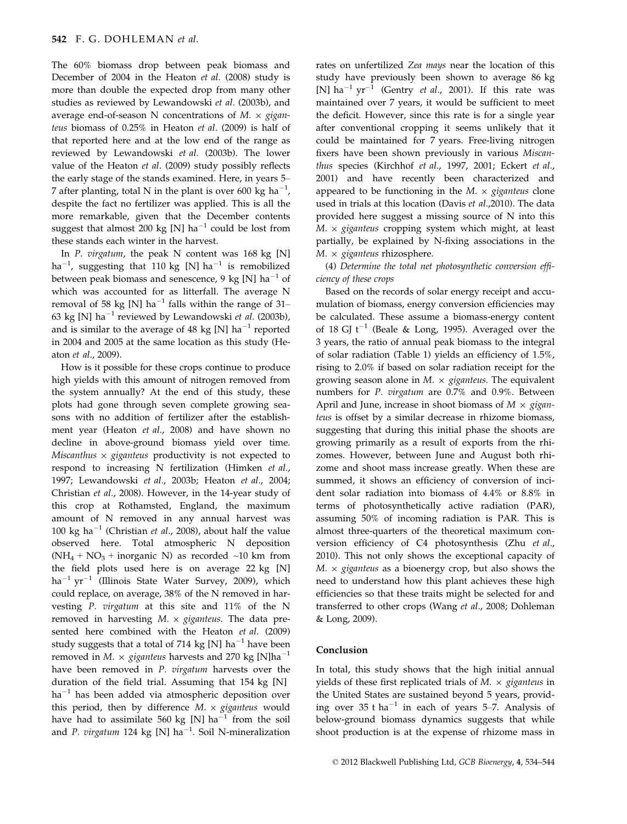The 60% biomass drop between peak biomass and December of 2004 in the Heaton et al. (2008) study is more than double the expected drop from many other studies as reviewed by Lewandowski et al. (2003b), and average end-of-season N concentrations of  $M. \times gigan$ teus biomass of 0.25% in Heaton et al. (2009) is half of that reported here and at the low end of the range as reviewed by Lewandowski et al. (2003b). The lower value of the Heaton et al. (2009) study possibly reflects the early stage of the stands examined. Here, in years 5– 7 after planting, total N in the plant is over 600 kg ha $^{-1}$ , despite the fact no fertilizer was applied. This is all the more remarkable, given that the December contents suggest that almost 200 kg [N] ha<sup>-1</sup> could be lost from these stands each winter in the harvest.

In P. virgatum, the peak N content was 168 kg [N] ha $^{-1}$ , suggesting that 110 kg [N] ha $^{-1}$  is remobilized between peak biomass and senescence, 9 kg [N]  $ha^{-1}$  of which was accounted for as litterfall. The average N removal of 58 kg [N] ha<sup>-1</sup> falls within the range of 31– 63 kg [N] ha<sup>-1</sup> reviewed by Lewandowski et al. (2003b), and is similar to the average of 48 kg [N]  $ha^{-1}$  reported in 2004 and 2005 at the same location as this study (Heaton et al., 2009).

How is it possible for these crops continue to produce high yields with this amount of nitrogen removed from the system annually? At the end of this study, these plots had gone through seven complete growing seasons with no addition of fertilizer after the establishment year (Heaton et al., 2008) and have shown no decline in above-ground biomass yield over time. Miscanthus  $\times$  giganteus productivity is not expected to respond to increasing N fertilization (Himken et al., 1997; Lewandowski et al., 2003b; Heaton et al., 2004; Christian et al., 2008). However, in the 14-year study of this crop at Rothamsted, England, the maximum amount of N removed in any annual harvest was 100 kg ha<sup>-1</sup> (Christian et al., 2008), about half the value observed here. Total atmospheric N deposition  $(NH_4 + NO_3 + inorganic N)$  as recorded ~10 km from the field plots used here is on average 22 kg [N]  $ha^{-1} yr^{-1}$  (Illinois State Water Survey, 2009), which could replace, on average, 38% of the N removed in harvesting P. virgatum at this site and 11% of the N removed in harvesting  $M. \times$  giganteus. The data presented here combined with the Heaton et al. (2009) study suggests that a total of 714 kg [N] ha<sup>-1</sup> have been removed in M.  $\times$  giganteus harvests and 270 kg [N]ha<sup>-1</sup> have been removed in *P. virgatum* harvests over the duration of the field trial. Assuming that 154 kg [N]  $ha^{-1}$  has been added via atmospheric deposition over this period, then by difference  $M. \times$  giganteus would have had to assimilate 560 kg [N] ha<sup>-1</sup> from the soil and P. virgatum 124 kg [N] ha<sup>-1</sup>. Soil N-mineralization

rates on unfertilized Zea mays near the location of this study have previously been shown to average 86 kg [N] ha<sup>-1</sup> yr<sup>-1</sup> (Gentry *et al.*, 2001). If this rate was maintained over 7 years, it would be sufficient to meet the deficit. However, since this rate is for a single year after conventional cropping it seems unlikely that it could be maintained for 7 years. Free-living nitrogen fixers have been shown previously in various Miscanthus species (Kirchhof et al., 1997, 2001; Eckert et al., 2001) and have recently been characterized and appeared to be functioning in the  $M. \times$  giganteus clone used in trials at this location (Davis et al.,2010). The data provided here suggest a missing source of N into this  $M. \times$  giganteus cropping system which might, at least partially, be explained by N-fixing associations in the  $M. \times$  giganteus rhizosphere.

(4) Determine the total net photosynthetic conversion efficiency of these crops

Based on the records of solar energy receipt and accumulation of biomass, energy conversion efficiencies may be calculated. These assume a biomass-energy content of 18 GJ  $t^{-1}$  (Beale & Long, 1995). Averaged over the 3 years, the ratio of annual peak biomass to the integral of solar radiation (Table 1) yields an efficiency of 1.5%, rising to 2.0% if based on solar radiation receipt for the growing season alone in  $M. \times$  giganteus. The equivalent numbers for P. virgatum are 0.7% and 0.9%. Between April and June, increase in shoot biomass of  $M \times gigan$ teus is offset by a similar decrease in rhizome biomass, suggesting that during this initial phase the shoots are growing primarily as a result of exports from the rhizomes. However, between June and August both rhizome and shoot mass increase greatly. When these are summed, it shows an efficiency of conversion of incident solar radiation into biomass of 4.4% or 8.8% in terms of photosynthetically active radiation (PAR), assuming 50% of incoming radiation is PAR. This is almost three-quarters of the theoretical maximum conversion efficiency of C4 photosynthesis (Zhu et al., 2010). This not only shows the exceptional capacity of  $M. \times$  giganteus as a bioenergy crop, but also shows the need to understand how this plant achieves these high efficiencies so that these traits might be selected for and transferred to other crops (Wang et al., 2008; Dohleman & Long, 2009).

# Conclusion

In total, this study shows that the high initial annual yields of these first replicated trials of  $M. \times$  giganteus in the United States are sustained beyond 5 years, providing over 35 t ha<sup>-1</sup> in each of years 5-7. Analysis of below-ground biomass dynamics suggests that while shoot production is at the expense of rhizome mass in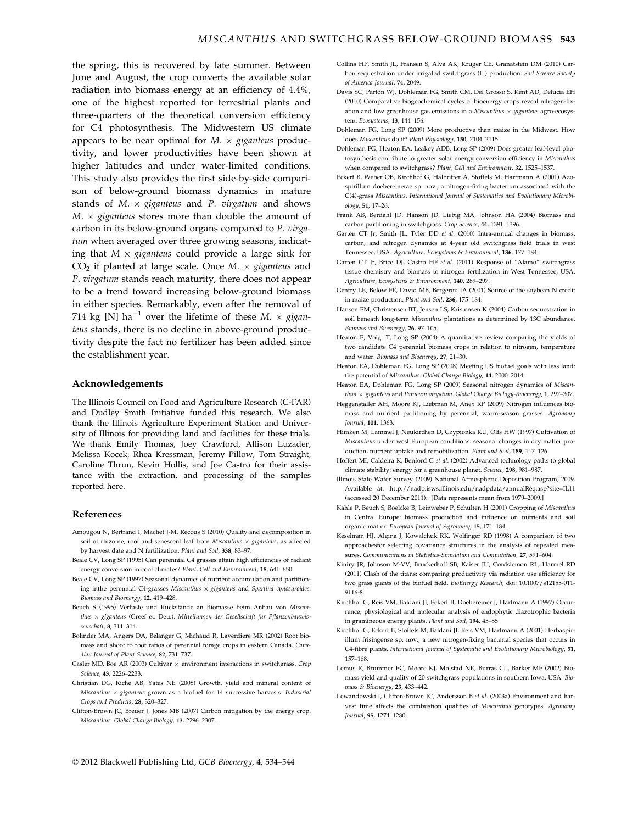the spring, this is recovered by late summer. Between June and August, the crop converts the available solar radiation into biomass energy at an efficiency of 4.4%, one of the highest reported for terrestrial plants and three-quarters of the theoretical conversion efficiency for C4 photosynthesis. The Midwestern US climate appears to be near optimal for  $M. \times$  giganteus productivity, and lower productivities have been shown at higher latitudes and under water-limited conditions. This study also provides the first side-by-side comparison of below-ground biomass dynamics in mature stands of  $M. \times$  giganteus and P. virgatum and shows  $M. \times$  giganteus stores more than double the amount of carbon in its below-ground organs compared to P. virgatum when averaged over three growing seasons, indicating that  $M \times$  giganteus could provide a large sink for  $CO<sub>2</sub>$  if planted at large scale. Once M.  $\times$  giganteus and P. virgatum stands reach maturity, there does not appear to be a trend toward increasing below-ground biomass in either species. Remarkably, even after the removal of 714 kg [N] ha<sup>-1</sup> over the lifetime of these M.  $\times$  giganteus stands, there is no decline in above-ground productivity despite the fact no fertilizer has been added since the establishment year.

#### Acknowledgements

The Illinois Council on Food and Agriculture Research (C-FAR) and Dudley Smith Initiative funded this research. We also thank the Illinois Agriculture Experiment Station and University of Illinois for providing land and facilities for these trials. We thank Emily Thomas, Joey Crawford, Allison Luzader, Melissa Kocek, Rhea Kressman, Jeremy Pillow, Tom Straight, Caroline Thrun, Kevin Hollis, and Joe Castro for their assistance with the extraction, and processing of the samples reported here.

#### References

- Amougou N, Bertrand I, Machet J-M, Recous S (2010) Quality and decomposition in soil of rhizome, root and senescent leaf from Miscanthus  $\times$  giganteus, as affected by harvest date and N fertilization. Plant and Soil, 338, 83–97.
- Beale CV, Long SP (1995) Can perennial C4 grasses attain high efficiencies of radiant energy conversion in cool climates? Plant, Cell and Environment, 18, 641–650.
- Beale CV, Long SP (1997) Seasonal dynamics of nutrient accumulation and partitioning inthe perennial C4-grasses Miscanthus  $\times$  giganteus and Spartina cynosuroides. Biomass and Bioenergy, 12, 419–428.
- Beuch S (1995) Verluste und Rückstände an Biomasse beim Anbau von Miscanthus  $\times$  giganteus (Greef et. Deu.). Mitteilungen der Gesellschaft fur Pflanzenbauwissenschaft, 8, 311–314.
- Bolinder MA, Angers DA, Belanger G, Michaud R, Laverdiere MR (2002) Root biomass and shoot to root ratios of perennial forage crops in eastern Canada. Canadian Journal of Plant Science, 82, 731-737.
- Casler MD, Boe AR (2003) Cultivar  $\times$  environment interactions in switchgrass. Crop Science, 43, 2226–2233.
- Christian DG, Riche AB, Yates NE (2008) Growth, yield and mineral content of Miscanthus  $\times$  giganteus grown as a biofuel for 14 successive harvests. Industrial Crops and Products, 28, 320–327.
- Clifton-Brown JC, Breuer J, Jones MB (2007) Carbon mitigation by the energy crop, Miscanthus. Global Change Biology, 13, 2296–2307.
- Collins HP, Smith JL, Fransen S, Alva AK, Kruger CE, Granatstein DM (2010) Carbon sequestration under irrigated switchgrass (L.) production. Soil Science Society of America Journal, 74, 2049.
- Davis SC, Parton WJ, Dohleman FG, Smith CM, Del Grosso S, Kent AD, Delucia EH (2010) Comparative biogeochemical cycles of bioenergy crops reveal nitrogen-fixation and low greenhouse gas emissions in a Miscanthus  $\times$  giganteus agro-ecosystem. Ecosystems, 13, 144–156.
- Dohleman FG, Long SP (2009) More productive than maize in the Midwest. How does Miscanthus do it? Plant Physiology, 150, 2104–2115.
- Dohleman FG, Heaton EA, Leakey ADB, Long SP (2009) Does greater leaf-level photosynthesis contribute to greater solar energy conversion efficiency in Miscanthus when compared to switchgrass? Plant, Cell and Environment, 32, 1525-1537.
- Eckert B, Weber OB, Kirchhof G, Halbritter A, Stoffels M, Hartmann A (2001) Azospirillum doebereinerae sp. nov., a nitrogen-fixing bacterium associated with the C(4)-grass Miscanthus. International Journal of Systematics and Evolutionary Microbiology, 51, 17–26.
- Frank AB, Berdahl JD, Hanson JD, Liebig MA, Johnson HA (2004) Biomass and carbon partitioning in switchgrass. Crop Science, 44, 1391–1396.
- Garten CT Jr, Smith JL, Tyler DD et al. (2010) Intra-annual changes in biomass, carbon, and nitrogen dynamics at 4-year old switchgrass field trials in west Tennessee, USA. Agriculture, Ecosystems & Environment, 136, 177–184.
- Garten CT Ir, Brice DJ, Castro HF et al. (2011) Response of "Alamo" switchgrass tissue chemistry and biomass to nitrogen fertilization in West Tennessee, USA. Agriculture, Ecosystems & Environment, 140, 289–297.
- Gentry LE, Below FE, David MB, Bergerou JA (2001) Source of the soybean N credit in maize production. Plant and Soil, 236, 175–184.
- Hansen EM, Christensen BT, Jensen LS, Kristensen K (2004) Carbon sequestration in soil beneath long-term Miscanthus plantations as determined by 13C abundance. Biomass and Bioenergy, 26, 97–105.
- Heaton E, Voigt T, Long SP (2004) A quantitative review comparing the yields of two candidate C4 perennial biomass crops in relation to nitrogen, temperature and water. Biomass and Bioenergy, 27, 21–30.
- Heaton EA, Dohleman FG, Long SP (2008) Meeting US biofuel goals with less land: the potential of Miscanthus. Global Change Biology, 14, 2000–2014.
- Heaton EA, Dohleman FG, Long SP (2009) Seasonal nitrogen dynamics of Miscanthus  $\times$  giganteus and Panicum virgatum. Global Change Biology-Bioenergy, 1, 297–307.
- Heggenstaller AH, Moore KJ, Liebman M, Anex RP (2009) Nitrogen influences biomass and nutrient partitioning by perennial, warm-season grasses. Agronomy Journal, 101, 1363.
- Himken M, Lammel J, Neukirchen D, Czypionka KU, Olfs HW (1997) Cultivation of Miscanthus under west European conditions: seasonal changes in dry matter production, nutrient uptake and remobilization. Plant and Soil, 189, 117–126.
- Hoffert MI, Caldeira K, Benford G et al. (2002) Advanced technology paths to global climate stability: energy for a greenhouse planet. Science, 298, 981–987.
- Illinois State Water Survey (2009) National Atmospheric Deposition Program, 2009. Available at: http://nadp.isws.illinois.edu/nadpdata/annualReq.asp?site=IL11 (accessed 20 December 2011). [Data represents mean from 1979–2009.]
- Kahle P, Beuch S, Boelcke B, Leinweber P, Schulten H (2001) Cropping of Miscanthus in Central Europe: biomass production and influence on nutrients and soil organic matter. European Journal of Agronomy, 15, 171–184.
- Keselman HJ, Algina J, Kowalchuk RK, Wolfinger RD (1998) A comparison of two approachesfor selecting covariance structures in the analysis of repeated measures. Communications in Statistics-Simulation and Computation, 27, 591–604.
- Kiniry JR, Johnson M-VV, Bruckerhoff SB, Kaiser JU, Cordsiemon RL, Harmel RD (2011) Clash of the titans: comparing productivity via radiation use efficiency for two grass giants of the biofuel field. BioEnergy Research, doi: 10.1007/s12155-011- 9116-8.
- Kirchhof G, Reis VM, Baldani JI, Eckert B, Doebereiner J, Hartmann A (1997) Occurrence, physiological and molecular analysis of endophytic diazotrophic bacteria in gramineous energy plants. Plant and Soil, 194, 45–55.
- Kirchhof G, Eckert B, Stoffels M, Baldani JI, Reis VM, Hartmann A (2001) Herbaspirillum frisingense sp. nov., a new nitrogen-fixing bacterial species that occurs in C4-fibre plants. International Journal of Systematic and Evolutionary Microbiology, 51, 157–168.
- Lemus R, Brummer EC, Moore KJ, Molstad NE, Burras CL, Barker MF (2002) Biomass yield and quality of 20 switchgrass populations in southern Iowa, USA. Biomass & Bioenergy, 23, 433–442.
- Lewandowski I, Clifton-Brown JC, Andersson B et al. (2003a) Environment and harvest time affects the combustion qualities of Miscanthus genotypes. Agronomy Journal, 95, 1274–1280.